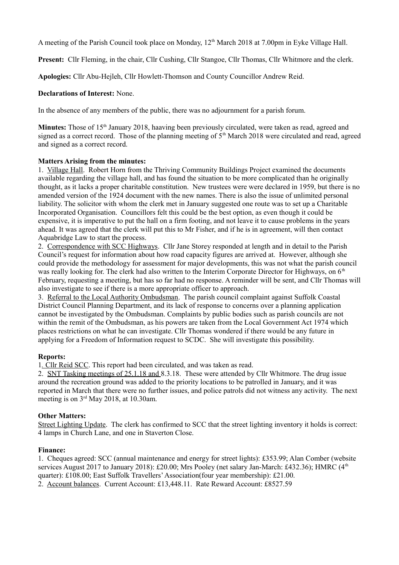A meeting of the Parish Council took place on Monday, 12th March 2018 at 7.00pm in Eyke Village Hall.

**Present:** Cllr Fleming, in the chair, Cllr Cushing, Cllr Stangoe, Cllr Thomas, Cllr Whitmore and the clerk.

**Apologies:** Cllr Abu-Hejleh, Cllr Howlett-Thomson and County Councillor Andrew Reid.

## **Declarations of Interest:** None.

In the absence of any members of the public, there was no adjournment for a parish forum.

**Minutes:** Those of 15<sup>th</sup> January 2018, haaving been previously circulated, were taken as read, agreed and signed as a correct record. Those of the planning meeting of  $5<sup>th</sup>$  March 2018 were circulated and read, agreed and signed as a correct record.

#### **Matters Arising from the minutes:**

1. Village Hall. Robert Horn from the Thriving Community Buildings Project examined the documents available regarding the village hall, and has found the situation to be more complicated than he originally thought, as it lacks a proper charitable constitution. New trustees were were declared in 1959, but there is no amended version of the 1924 document with the new names. There is also the issue of unlimited personal liability. The solicitor with whom the clerk met in January suggested one route was to set up a Charitable Incorporated Organisation. Councillors felt this could be the best option, as even though it could be expensive, it is imperative to put the hall on a firm footing, and not leave it to cause problems in the years ahead. It was agreed that the clerk will put this to Mr Fisher, and if he is in agreement, will then contact Aquabridge Law to start the process.

2. Correspondence with SCC Highways. Cllr Jane Storey responded at length and in detail to the Parish Council's request for information about how road capacity figures are arrived at. However, although she could provide the methodology for assessment for major developments, this was not what the parish council was really looking for. The clerk had also written to the Interim Corporate Director for Highways, on  $6<sup>th</sup>$ February, requesting a meeting, but has so far had no response. A reminder will be sent, and Cllr Thomas will also investigate to see if there is a more appropriate officer to approach.

3. Referral to the Local Authority Ombudsman. The parish council complaint against Suffolk Coastal District Council Planning Department, and its lack of response to concerns over a planning application cannot be investigated by the Ombudsman. Complaints by public bodies such as parish councils are not within the remit of the Ombudsman, as his powers are taken from the Local Government Act 1974 which places restrictions on what he can investigate. Cllr Thomas wondered if there would be any future in applying for a Freedom of Information request to SCDC. She will investigate this possibility.

# **Reports:**

1 *.*Cllr Reid SCC. This report had been circulated, and was taken as read.

2. SNT Tasking meetings of 25.1.18 and 8.3.18. These were attended by Cllr Whitmore. The drug issue around the recreation ground was added to the priority locations to be patrolled in January, and it was reported in March that there were no further issues, and police patrols did not witness any activity. The next meeting is on 3rd May 2018, at 10.30am.

#### **Other Matters:**

Street Lighting Update. The clerk has confirmed to SCC that the street lighting inventory it holds is correct: 4 lamps in Church Lane, and one in Staverton Close.

#### **Finance:**

1. Cheques agreed: SCC (annual maintenance and energy for street lights): £353.99; Alan Comber (website services August 2017 to January 2018): £20.00; Mrs Pooley (net salary Jan-March: £432.36); HMRC (4<sup>th</sup> quarter): £108.00; East Suffolk Travellers' Association(four year membership): £21.00.

2. Account balances. Current Account: £13,448.11. Rate Reward Account: £8527.59